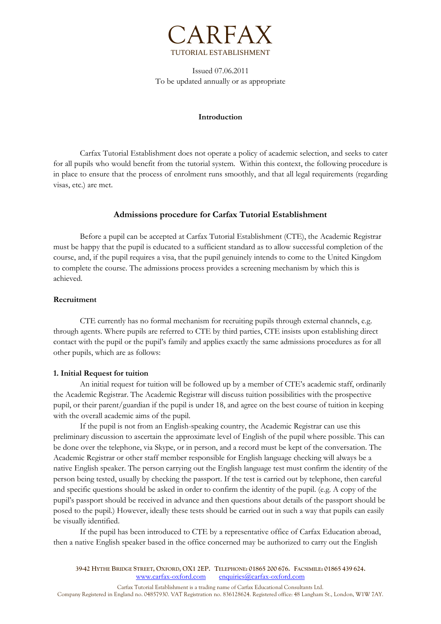

Issued 07.06.2011 To be updated annually or as appropriate

#### **Introduction**

Carfax Tutorial Establishment does not operate a policy of academic selection, and seeks to cater for all pupils who would benefit from the tutorial system. Within this context, the following procedure is in place to ensure that the process of enrolment runs smoothly, and that all legal requirements (regarding visas, etc.) are met.

# **Admissions procedure for Carfax Tutorial Establishment**

Before a pupil can be accepted at Carfax Tutorial Establishment (CTE), the Academic Registrar must be happy that the pupil is educated to a sufficient standard as to allow successful completion of the course, and, if the pupil requires a visa, that the pupil genuinely intends to come to the United Kingdom to complete the course. The admissions process provides a screening mechanism by which this is achieved.

# **Recruitment**

CTE currently has no formal mechanism for recruiting pupils through external channels, e.g. through agents. Where pupils are referred to CTE by third parties, CTE insists upon establishing direct contact with the pupil or the pupil's family and applies exactly the same admissions procedures as for all other pupils, which are as follows:

# **1. Initial Request for tuition**

An initial request for tuition will be followed up by a member of CTE's academic staff, ordinarily the Academic Registrar. The Academic Registrar will discuss tuition possibilities with the prospective pupil, or their parent/guardian if the pupil is under 18, and agree on the best course of tuition in keeping with the overall academic aims of the pupil.

If the pupil is not from an English-speaking country, the Academic Registrar can use this preliminary discussion to ascertain the approximate level of English of the pupil where possible. This can be done over the telephone, via Skype, or in person, and a record must be kept of the conversation. The Academic Registrar or other staff member responsible for English language checking will always be a native English speaker. The person carrying out the English language test must confirm the identity of the person being tested, usually by checking the passport. If the test is carried out by telephone, then careful and specific questions should be asked in order to confirm the identity of the pupil. (e.g. A copy of the pupil's passport should be received in advance and then questions about details of the passport should be posed to the pupil.) However, ideally these tests should be carried out in such a way that pupils can easily be visually identified.

If the pupil has been introduced to CTE by a representative office of Carfax Education abroad, then a native English speaker based in the office concerned may be authorized to carry out the English

39-42 HYTHE BRIDGE STREET, OXFORD, OX1 2EP. TELEPHONE: 01865 200 676. FACSIMILE: 01865 439 624.<br>www.carfax-oxford.com enquiries@carfax-oxford.com  $enguiries@carfax-oxford.com$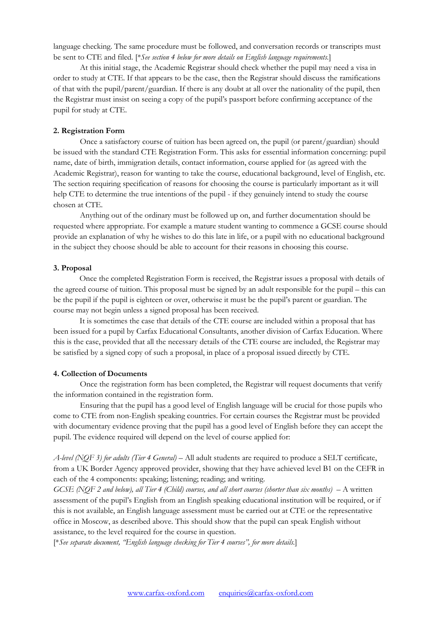language checking. The same procedure must be followed, and conversation records or transcripts must be sent to CTE and filed. [\**See section 4 below for more details on English language requirements.*]

At this initial stage, the Academic Registrar should check whether the pupil may need a visa in order to study at CTE. If that appears to be the case, then the Registrar should discuss the ramifications of that with the pupil/parent/guardian. If there is any doubt at all over the nationality of the pupil, then the Registrar must insist on seeing a copy of the pupil's passport before confirming acceptance of the pupil for study at CTE.

# **2. Registration Form**

Once a satisfactory course of tuition has been agreed on, the pupil (or parent/guardian) should be issued with the standard CTE Registration Form. This asks for essential information concerning: pupil name, date of birth, immigration details, contact information, course applied for (as agreed with the Academic Registrar), reason for wanting to take the course, educational background, level of English, etc. The section requiring specification of reasons for choosing the course is particularly important as it will help CTE to determine the true intentions of the pupil - if they genuinely intend to study the course chosen at CTE.

Anything out of the ordinary must be followed up on, and further documentation should be requested where appropriate. For example a mature student wanting to commence a GCSE course should provide an explanation of why he wishes to do this late in life, or a pupil with no educational background in the subject they choose should be able to account for their reasons in choosing this course.

#### **3. Proposal**

Once the completed Registration Form is received, the Registrar issues a proposal with details of the agreed course of tuition. This proposal must be signed by an adult responsible for the pupil – this can be the pupil if the pupil is eighteen or over, otherwise it must be the pupil's parent or guardian. The course may not begin unless a signed proposal has been received.

It is sometimes the case that details of the CTE course are included within a proposal that has been issued for a pupil by Carfax Educational Consultants, another division of Carfax Education. Where this is the case, provided that all the necessary details of the CTE course are included, the Registrar may be satisfied by a signed copy of such a proposal, in place of a proposal issued directly by CTE.

## **4. Collection of Documents**

Once the registration form has been completed, the Registrar will request documents that verify the information contained in the registration form.

Ensuring that the pupil has a good level of English language will be crucial for those pupils who come to CTE from non-English speaking countries. For certain courses the Registrar must be provided with documentary evidence proving that the pupil has a good level of English before they can accept the pupil. The evidence required will depend on the level of course applied for:

*A-level (NQF 3) for adults (Tier 4 General)* – All adult students are required to produce a SELT certificate, from a UK Border Agency approved provider, showing that they have achieved level B1 on the CEFR in each of the 4 components: speaking; listening; reading; and writing.

*GCSE (NQF 2 and below), all Tier 4 (Child) courses, and all short courses (shorter than six months) –* A written assessment of the pupil's English from an English speaking educational institution will be required, or if this is not available, an English language assessment must be carried out at CTE or the representative office in Moscow, as described above. This should show that the pupil can speak English without assistance, to the level required for the course in question.

[\**See separate document, "English language checking for Tier 4 courses", for more details.*]